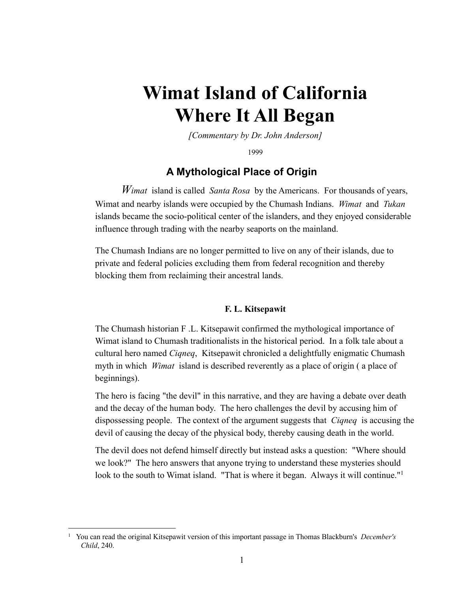# **Wimat Island of California Where It All Began**

*[Commentary by Dr. John Anderson]*

1999

## **A Mythological Place of Origin**

*Wimat* island is called *Santa Rosa* by the Americans. For thousands of years, Wimat and nearby islands were occupied by the Chumash Indians. *Wimat* and *Tukan* islands became the socio-political center of the islanders, and they enjoyed considerable influence through trading with the nearby seaports on the mainland.

The Chumash Indians are no longer permitted to live on any of their islands, due to private and federal policies excluding them from federal recognition and thereby blocking them from reclaiming their ancestral lands.

#### **F. L. Kitsepawit**

The Chumash historian F .L. Kitsepawit confirmed the mythological importance of Wimat island to Chumash traditionalists in the historical period. In a folk tale about a cultural hero named *Ciqneq*, Kitsepawit chronicled a delightfully enigmatic Chumash myth in which *Wimat* island is described reverently as a place of origin ( a place of beginnings).

The hero is facing "the devil" in this narrative, and they are having a debate over death and the decay of the human body. The hero challenges the devil by accusing him of dispossessing people. The context of the argument suggests that *Ciqneq* is accusing the devil of causing the decay of the physical body, thereby causing death in the world.

The devil does not defend himself directly but instead asks a question: "Where should we look?" The hero answers that anyone trying to understand these mysteries should look to the south to Wimat island. "That is where it began. Always it will continue."<sup>1</sup>

<sup>1</sup> You can read the original Kitsepawit version of this important passage in Thomas Blackburn's *December's Child*, 240.